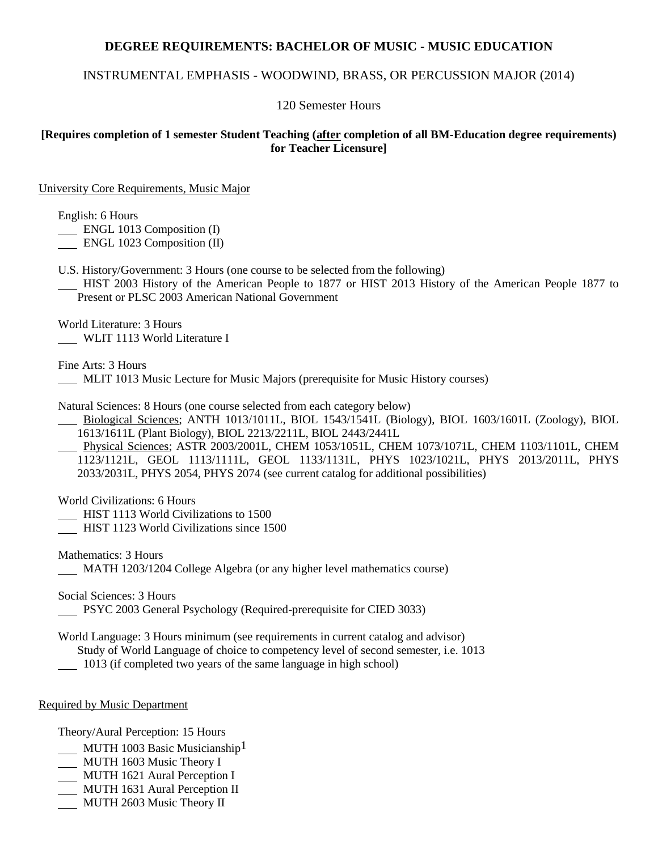# **DEGREE REQUIREMENTS: BACHELOR OF MUSIC - MUSIC EDUCATION**

# INSTRUMENTAL EMPHASIS - WOODWIND, BRASS, OR PERCUSSION MAJOR (2014)

### 120 Semester Hours

### **[Requires completion of 1 semester Student Teaching (after completion of all BM-Education degree requirements) for Teacher Licensure]**

#### University Core Requirements, Music Major

English: 6 Hours

**ENGL 1013 Composition (I)** 

ENGL 1023 Composition (II)

U.S. History/Government: 3 Hours (one course to be selected from the following)

 HIST 2003 History of the American People to 1877 or HIST 2013 History of the American People 1877 to Present or PLSC 2003 American National Government

World Literature: 3 Hours WLIT 1113 World Literature I

Fine Arts: 3 Hours

MLIT 1013 Music Lecture for Music Majors (prerequisite for Music History courses)

Natural Sciences: 8 Hours (one course selected from each category below)

 Biological Sciences; ANTH 1013/1011L, BIOL 1543/1541L (Biology), BIOL 1603/1601L (Zoology), BIOL 1613/1611L (Plant Biology), BIOL 2213/2211L, BIOL 2443/2441L

 Physical Sciences; ASTR 2003/2001L, CHEM 1053/1051L, CHEM 1073/1071L, CHEM 1103/1101L, CHEM 1123/1121L, GEOL 1113/1111L, GEOL 1133/1131L, PHYS 1023/1021L, PHYS 2013/2011L, PHYS 2033/2031L, PHYS 2054, PHYS 2074 (see current catalog for additional possibilities)

World Civilizations: 6 Hours

HIST 1113 World Civilizations to 1500

HIST 1123 World Civilizations since 1500

Mathematics: 3 Hours MATH 1203/1204 College Algebra (or any higher level mathematics course)

Social Sciences: 3 Hours

PSYC 2003 General Psychology (Required-prerequisite for CIED 3033)

World Language: 3 Hours minimum (see requirements in current catalog and advisor) Study of World Language of choice to competency level of second semester, i.e. 1013

1013 (if completed two years of the same language in high school)

#### Required by Music Department

Theory/Aural Perception: 15 Hours

- MUTH 1003 Basic Musicianship<sup>1</sup>
- MUTH 1603 Music Theory I
- MUTH 1621 Aural Perception I
- MUTH 1631 Aural Perception II
- MUTH 2603 Music Theory II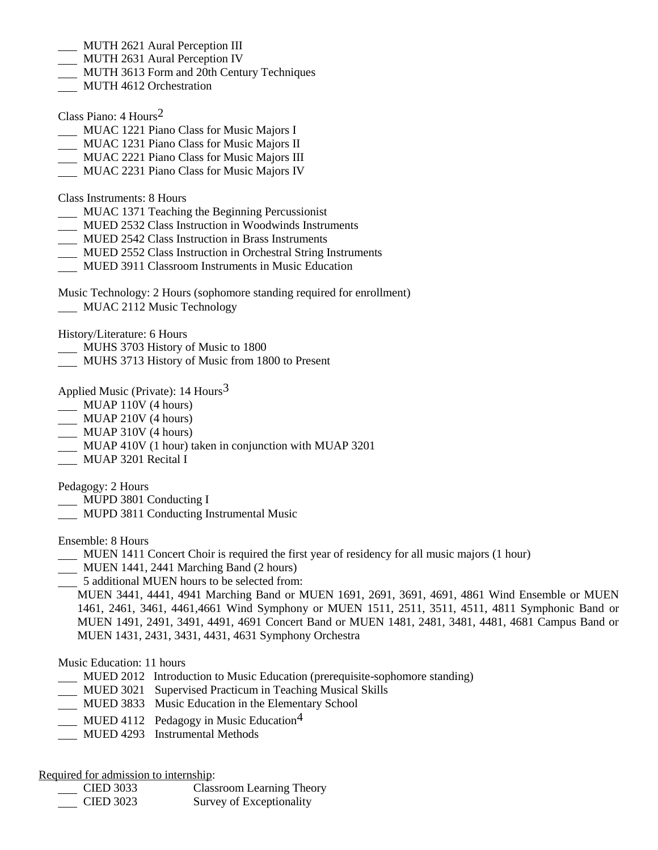- MUTH 2621 Aural Perception III
- MUTH 2631 Aural Perception IV
- MUTH 3613 Form and 20th Century Techniques
- MUTH 4612 Orchestration

Class Piano: 4 Hours2

- MUAC 1221 Piano Class for Music Majors I
- MUAC 1231 Piano Class for Music Majors II
- MUAC 2221 Piano Class for Music Majors III
- MUAC 2231 Piano Class for Music Majors IV

Class Instruments: 8 Hours

- MUAC 1371 Teaching the Beginning Percussionist
- MUED 2532 Class Instruction in Woodwinds Instruments
- MUED 2542 Class Instruction in Brass Instruments
- MUED 2552 Class Instruction in Orchestral String Instruments
- MUED 3911 Classroom Instruments in Music Education

Music Technology: 2 Hours (sophomore standing required for enrollment) **MUAC 2112 Music Technology** 

History/Literature: 6 Hours

- MUHS 3703 History of Music to 1800
- MUHS 3713 History of Music from 1800 to Present

Applied Music (Private):  $14$  Hours<sup>3</sup>

- MUAP 110V (4 hours)
- MUAP 210V (4 hours)
- MUAP 310V (4 hours)
- MUAP 410V (1 hour) taken in conjunction with MUAP 3201
- MUAP 3201 Recital I

Pedagogy: 2 Hours

- MUPD 3801 Conducting I
- MUPD 3811 Conducting Instrumental Music

Ensemble: 8 Hours

- MUEN 1411 Concert Choir is required the first year of residency for all music majors (1 hour)
- MUEN 1441, 2441 Marching Band (2 hours)
- 5 additional MUEN hours to be selected from:

MUEN 3441, 4441, 4941 Marching Band or MUEN 1691, 2691, 3691, 4691, 4861 Wind Ensemble or MUEN 1461, 2461, 3461, 4461,4661 Wind Symphony or MUEN 1511, 2511, 3511, 4511, 4811 Symphonic Band or MUEN 1491, 2491, 3491, 4491, 4691 Concert Band or MUEN 1481, 2481, 3481, 4481, 4681 Campus Band or MUEN 1431, 2431, 3431, 4431, 4631 Symphony Orchestra

### Music Education: 11 hours

- MUED 2012 Introduction to Music Education (prerequisite-sophomore standing)
- MUED 3021 Supervised Practicum in Teaching Musical Skills
- MUED 3833 Music Education in the Elementary School
- MUED 4112 Pedagogy in Music Education<sup>4</sup>
- MUED 4293 Instrumental Methods

Required for admission to internship:

 CIED 3033 Classroom Learning Theory CIED 3023 Survey of Exceptionality